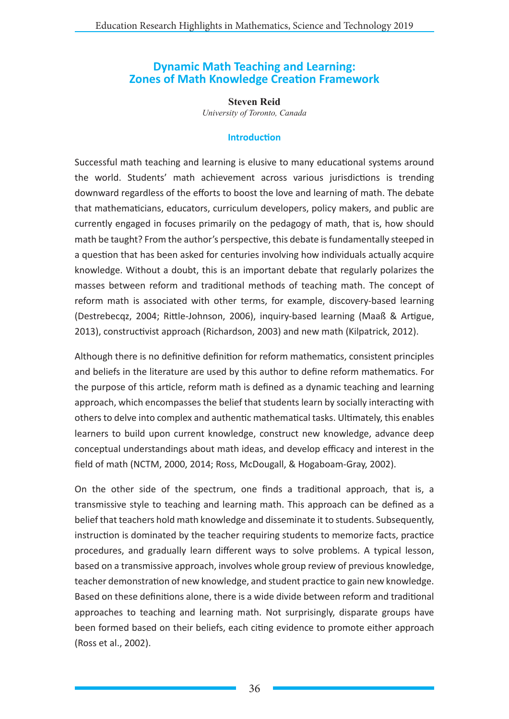# **Dynamic Math Teaching and Learning: Zones of Math Knowledge Creation Framework**

**Steven Reid** *University of Toronto, Canada*

#### **Introduction**

Successful math teaching and learning is elusive to many educational systems around the world. Students' math achievement across various jurisdictions is trending downward regardless of the efforts to boost the love and learning of math. The debate that mathematicians, educators, curriculum developers, policy makers, and public are currently engaged in focuses primarily on the pedagogy of math, that is, how should math be taught? From the author's perspective, this debate is fundamentally steeped in a question that has been asked for centuries involving how individuals actually acquire knowledge. Without a doubt, this is an important debate that regularly polarizes the masses between reform and traditional methods of teaching math. The concept of reform math is associated with other terms, for example, discovery-based learning (Destrebecqz, 2004; Rittle-Johnson, 2006), inquiry-based learning (Maaß & Artigue, 2013), constructivist approach (Richardson, 2003) and new math (Kilpatrick, 2012).

Although there is no definitive definition for reform mathematics, consistent principles and beliefs in the literature are used by this author to define reform mathematics. For the purpose of this article, reform math is defined as a dynamic teaching and learning approach, which encompasses the belief that students learn by socially interacting with others to delve into complex and authentic mathematical tasks. Ultimately, this enables learners to build upon current knowledge, construct new knowledge, advance deep conceptual understandings about math ideas, and develop efficacy and interest in the field of math (NCTM, 2000, 2014; Ross, McDougall, & Hogaboam-Gray, 2002).

On the other side of the spectrum, one finds a traditional approach, that is, a transmissive style to teaching and learning math. This approach can be defined as a belief that teachers hold math knowledge and disseminate it to students. Subsequently, instruction is dominated by the teacher requiring students to memorize facts, practice procedures, and gradually learn different ways to solve problems. A typical lesson, based on a transmissive approach, involves whole group review of previous knowledge, teacher demonstration of new knowledge, and student practice to gain new knowledge. Based on these definitions alone, there is a wide divide between reform and traditional approaches to teaching and learning math. Not surprisingly, disparate groups have been formed based on their beliefs, each citing evidence to promote either approach (Ross et al., 2002).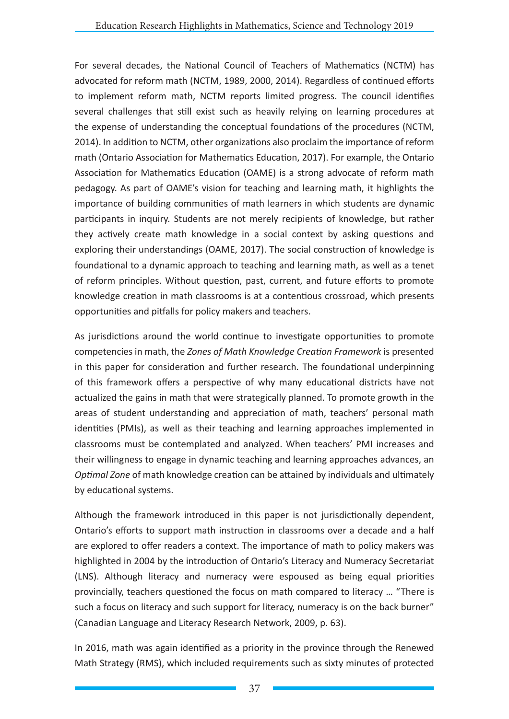For several decades, the National Council of Teachers of Mathematics (NCTM) has advocated for reform math (NCTM, 1989, 2000, 2014). Regardless of continued efforts to implement reform math, NCTM reports limited progress. The council identifies several challenges that still exist such as heavily relying on learning procedures at the expense of understanding the conceptual foundations of the procedures (NCTM, 2014). In addition to NCTM, other organizations also proclaim the importance of reform math (Ontario Association for Mathematics Education, 2017). For example, the Ontario Association for Mathematics Education (OAME) is a strong advocate of reform math pedagogy. As part of OAME's vision for teaching and learning math, it highlights the importance of building communities of math learners in which students are dynamic participants in inquiry. Students are not merely recipients of knowledge, but rather they actively create math knowledge in a social context by asking questions and exploring their understandings (OAME, 2017). The social construction of knowledge is foundational to a dynamic approach to teaching and learning math, as well as a tenet of reform principles. Without question, past, current, and future efforts to promote knowledge creation in math classrooms is at a contentious crossroad, which presents opportunities and pitfalls for policy makers and teachers.

As jurisdictions around the world continue to investigate opportunities to promote competencies in math, the *Zones of Math Knowledge Creation Framework* is presented in this paper for consideration and further research. The foundational underpinning of this framework offers a perspective of why many educational districts have not actualized the gains in math that were strategically planned. To promote growth in the areas of student understanding and appreciation of math, teachers' personal math identities (PMIs), as well as their teaching and learning approaches implemented in classrooms must be contemplated and analyzed. When teachers' PMI increases and their willingness to engage in dynamic teaching and learning approaches advances, an *Optimal Zone* of math knowledge creation can be attained by individuals and ultimately by educational systems.

Although the framework introduced in this paper is not jurisdictionally dependent, Ontario's efforts to support math instruction in classrooms over a decade and a half are explored to offer readers a context. The importance of math to policy makers was highlighted in 2004 by the introduction of Ontario's Literacy and Numeracy Secretariat (LNS). Although literacy and numeracy were espoused as being equal priorities provincially, teachers questioned the focus on math compared to literacy … "There is such a focus on literacy and such support for literacy, numeracy is on the back burner" (Canadian Language and Literacy Research Network, 2009, p. 63).

In 2016, math was again identified as a priority in the province through the Renewed Math Strategy (RMS), which included requirements such as sixty minutes of protected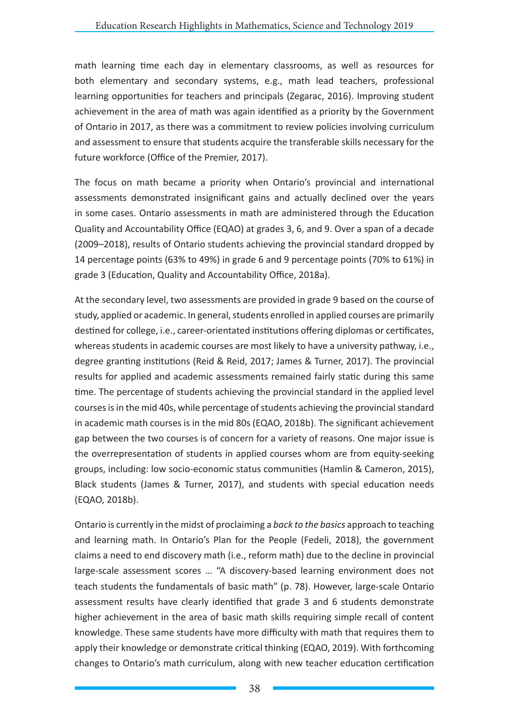math learning time each day in elementary classrooms, as well as resources for both elementary and secondary systems, e.g., math lead teachers, professional learning opportunities for teachers and principals (Zegarac, 2016). Improving student achievement in the area of math was again identified as a priority by the Government of Ontario in 2017, as there was a commitment to review policies involving curriculum and assessment to ensure that students acquire the transferable skills necessary for the future workforce (Office of the Premier, 2017).

The focus on math became a priority when Ontario's provincial and international assessments demonstrated insignificant gains and actually declined over the years in some cases. Ontario assessments in math are administered through the Education Quality and Accountability Office (EQAO) at grades 3, 6, and 9. Over a span of a decade (2009–2018), results of Ontario students achieving the provincial standard dropped by 14 percentage points (63% to 49%) in grade 6 and 9 percentage points (70% to 61%) in grade 3 (Education, Quality and Accountability Office, 2018a).

At the secondary level, two assessments are provided in grade 9 based on the course of study, applied or academic. In general, students enrolled in applied courses are primarily destined for college, i.e., career-orientated institutions offering diplomas or certificates, whereas students in academic courses are most likely to have a university pathway, i.e., degree granting institutions (Reid & Reid, 2017; James & Turner, 2017). The provincial results for applied and academic assessments remained fairly static during this same time. The percentage of students achieving the provincial standard in the applied level courses is in the mid 40s, while percentage of students achieving the provincial standard in academic math courses is in the mid 80s (EQAO, 2018b). The significant achievement gap between the two courses is of concern for a variety of reasons. One major issue is the overrepresentation of students in applied courses whom are from equity-seeking groups, including: low socio-economic status communities (Hamlin & Cameron, 2015), Black students (James & Turner, 2017), and students with special education needs (EQAO, 2018b).

Ontario is currently in the midst of proclaiming a *back to the basics* approach to teaching and learning math. In Ontario's Plan for the People (Fedeli, 2018), the government claims a need to end discovery math (i.e., reform math) due to the decline in provincial large-scale assessment scores … "A discovery-based learning environment does not teach students the fundamentals of basic math" (p. 78). However, large-scale Ontario assessment results have clearly identified that grade 3 and 6 students demonstrate higher achievement in the area of basic math skills requiring simple recall of content knowledge. These same students have more difficulty with math that requires them to apply their knowledge or demonstrate critical thinking (EQAO, 2019). With forthcoming changes to Ontario's math curriculum, along with new teacher education certification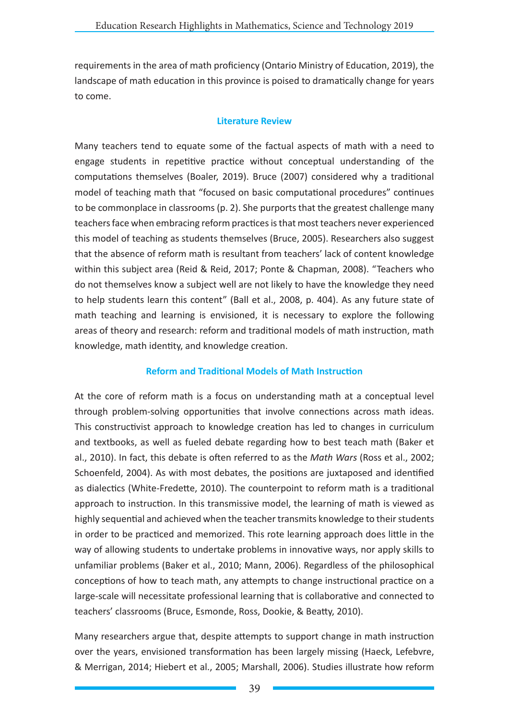requirements in the area of math proficiency (Ontario Ministry of Education, 2019), the landscape of math education in this province is poised to dramatically change for years to come.

### **Literature Review**

Many teachers tend to equate some of the factual aspects of math with a need to engage students in repetitive practice without conceptual understanding of the computations themselves (Boaler, 2019). Bruce (2007) considered why a traditional model of teaching math that "focused on basic computational procedures" continues to be commonplace in classrooms (p. 2). She purports that the greatest challenge many teachers face when embracing reform practices is that most teachers never experienced this model of teaching as students themselves (Bruce, 2005). Researchers also suggest that the absence of reform math is resultant from teachers' lack of content knowledge within this subject area (Reid & Reid, 2017; Ponte & Chapman, 2008). "Teachers who do not themselves know a subject well are not likely to have the knowledge they need to help students learn this content" (Ball et al., 2008, p. 404). As any future state of math teaching and learning is envisioned, it is necessary to explore the following areas of theory and research: reform and traditional models of math instruction, math knowledge, math identity, and knowledge creation.

### **Reform and Traditional Models of Math Instruction**

At the core of reform math is a focus on understanding math at a conceptual level through problem-solving opportunities that involve connections across math ideas. This constructivist approach to knowledge creation has led to changes in curriculum and textbooks, as well as fueled debate regarding how to best teach math (Baker et al., 2010). In fact, this debate is often referred to as the *Math Wars* (Ross et al., 2002; Schoenfeld, 2004). As with most debates, the positions are juxtaposed and identified as dialectics (White-Fredette, 2010). The counterpoint to reform math is a traditional approach to instruction. In this transmissive model, the learning of math is viewed as highly sequential and achieved when the teacher transmits knowledge to their students in order to be practiced and memorized. This rote learning approach does little in the way of allowing students to undertake problems in innovative ways, nor apply skills to unfamiliar problems (Baker et al., 2010; Mann, 2006). Regardless of the philosophical conceptions of how to teach math, any attempts to change instructional practice on a large-scale will necessitate professional learning that is collaborative and connected to teachers' classrooms (Bruce, Esmonde, Ross, Dookie, & Beatty, 2010).

Many researchers argue that, despite attempts to support change in math instruction over the years, envisioned transformation has been largely missing (Haeck, Lefebvre, & Merrigan, 2014; Hiebert et al., 2005; Marshall, 2006). Studies illustrate how reform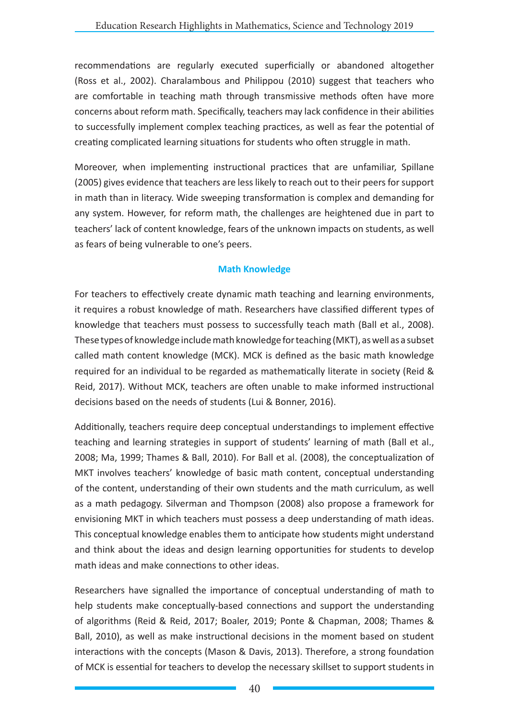recommendations are regularly executed superficially or abandoned altogether (Ross et al., 2002). Charalambous and Philippou (2010) suggest that teachers who are comfortable in teaching math through transmissive methods often have more concerns about reform math. Specifically, teachers may lack confidence in their abilities to successfully implement complex teaching practices, as well as fear the potential of creating complicated learning situations for students who often struggle in math.

Moreover, when implementing instructional practices that are unfamiliar, Spillane (2005) gives evidence that teachers are less likely to reach out to their peers for support in math than in literacy. Wide sweeping transformation is complex and demanding for any system. However, for reform math, the challenges are heightened due in part to teachers' lack of content knowledge, fears of the unknown impacts on students, as well as fears of being vulnerable to one's peers.

### **Math Knowledge**

For teachers to effectively create dynamic math teaching and learning environments, it requires a robust knowledge of math. Researchers have classified different types of knowledge that teachers must possess to successfully teach math (Ball et al., 2008). These types of knowledge include math knowledge for teaching (MKT), as well as a subset called math content knowledge (MCK). MCK is defined as the basic math knowledge required for an individual to be regarded as mathematically literate in society (Reid & Reid, 2017). Without MCK, teachers are often unable to make informed instructional decisions based on the needs of students (Lui & Bonner, 2016).

Additionally, teachers require deep conceptual understandings to implement effective teaching and learning strategies in support of students' learning of math (Ball et al., 2008; Ma, 1999; Thames & Ball, 2010). For Ball et al. (2008), the conceptualization of MKT involves teachers' knowledge of basic math content, conceptual understanding of the content, understanding of their own students and the math curriculum, as well as a math pedagogy. Silverman and Thompson (2008) also propose a framework for envisioning MKT in which teachers must possess a deep understanding of math ideas. This conceptual knowledge enables them to anticipate how students might understand and think about the ideas and design learning opportunities for students to develop math ideas and make connections to other ideas.

Researchers have signalled the importance of conceptual understanding of math to help students make conceptually-based connections and support the understanding of algorithms (Reid & Reid, 2017; Boaler, 2019; Ponte & Chapman, 2008; Thames & Ball, 2010), as well as make instructional decisions in the moment based on student interactions with the concepts (Mason & Davis, 2013). Therefore, a strong foundation of MCK is essential for teachers to develop the necessary skillset to support students in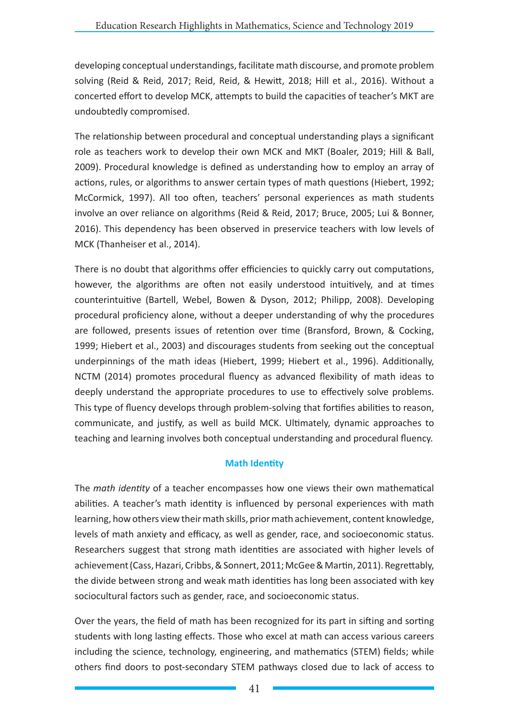developing conceptual understandings, facilitate math discourse, and promote problem solving (Reid & Reid, 2017; Reid, Reid, & Hewitt, 2018; Hill et al., 2016). Without a concerted effort to develop MCK, attempts to build the capacities of teacher's MKT are undoubtedly compromised.

The relationship between procedural and conceptual understanding plays a significant role as teachers work to develop their own MCK and MKT (Boaler, 2019; Hill & Ball, 2009). Procedural knowledge is defined as understanding how to employ an array of actions, rules, or algorithms to answer certain types of math questions (Hiebert, 1992; McCormick, 1997). All too often, teachers' personal experiences as math students involve an over reliance on algorithms (Reid & Reid, 2017; Bruce, 2005; Lui & Bonner, 2016). This dependency has been observed in preservice teachers with low levels of MCK (Thanheiser et al., 2014).

There is no doubt that algorithms offer efficiencies to quickly carry out computations, however, the algorithms are often not easily understood intuitively, and at times counterintuitive (Bartell, Webel, Bowen & Dyson, 2012; Philipp, 2008). Developing procedural proficiency alone, without a deeper understanding of why the procedures are followed, presents issues of retention over time (Bransford, Brown, & Cocking, 1999; Hiebert et al., 2003) and discourages students from seeking out the conceptual underpinnings of the math ideas (Hiebert, 1999; Hiebert et al., 1996). Additionally, NCTM (2014) promotes procedural fluency as advanced flexibility of math ideas to deeply understand the appropriate procedures to use to effectively solve problems. This type of fluency develops through problem-solving that fortifies abilities to reason, communicate, and justify, as well as build MCK. Ultimately, dynamic approaches to teaching and learning involves both conceptual understanding and procedural fluency.

### **Math Identity**

The *math identity* of a teacher encompasses how one views their own mathematical abilities. A teacher's math identity is influenced by personal experiences with math learning, how others view their math skills, prior math achievement, content knowledge, levels of math anxiety and efficacy, as well as gender, race, and socioeconomic status. Researchers suggest that strong math identities are associated with higher levels of achievement (Cass, Hazari, Cribbs, & Sonnert, 2011; McGee & Martin, 2011). Regrettably, the divide between strong and weak math identities has long been associated with key sociocultural factors such as gender, race, and socioeconomic status.

Over the years, the field of math has been recognized for its part in sifting and sorting students with long lasting effects. Those who excel at math can access various careers including the science, technology, engineering, and mathematics (STEM) fields; while others find doors to post-secondary STEM pathways closed due to lack of access to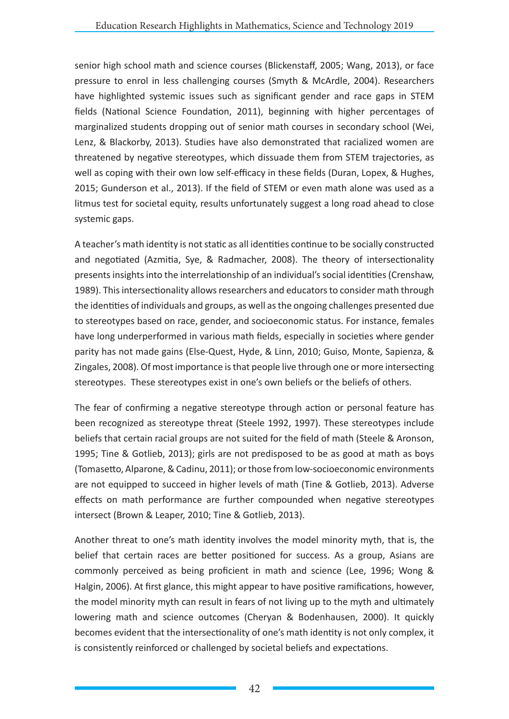senior high school math and science courses (Blickenstaff, 2005; Wang, 2013), or face pressure to enrol in less challenging courses (Smyth & McArdle, 2004). Researchers have highlighted systemic issues such as significant gender and race gaps in STEM fields (National Science Foundation, 2011), beginning with higher percentages of marginalized students dropping out of senior math courses in secondary school (Wei, Lenz, & Blackorby, 2013). Studies have also demonstrated that racialized women are threatened by negative stereotypes, which dissuade them from STEM trajectories, as well as coping with their own low self-efficacy in these fields (Duran, Lopex, & Hughes, 2015; Gunderson et al., 2013). If the field of STEM or even math alone was used as a litmus test for societal equity, results unfortunately suggest a long road ahead to close systemic gaps.

A teacher's math identity is not static as all identities continue to be socially constructed and negotiated (Azmitia, Sye, & Radmacher, 2008). The theory of intersectionality presents insights into the interrelationship of an individual's social identities (Crenshaw, 1989). This intersectionality allows researchers and educators to consider math through the identities of individuals and groups, as well as the ongoing challenges presented due to stereotypes based on race, gender, and socioeconomic status. For instance, females have long underperformed in various math fields, especially in societies where gender parity has not made gains (Else-Quest, Hyde, & Linn, 2010; Guiso, Monte, Sapienza, & Zingales, 2008). Of most importance is that people live through one or more intersecting stereotypes. These stereotypes exist in one's own beliefs or the beliefs of others.

The fear of confirming a negative stereotype through action or personal feature has been recognized as stereotype threat (Steele 1992, 1997). These stereotypes include beliefs that certain racial groups are not suited for the field of math (Steele & Aronson, 1995; Tine & Gotlieb, 2013); girls are not predisposed to be as good at math as boys (Tomasetto, Alparone, & Cadinu, 2011); or those from low-socioeconomic environments are not equipped to succeed in higher levels of math (Tine & Gotlieb, 2013). Adverse effects on math performance are further compounded when negative stereotypes intersect (Brown & Leaper, 2010; Tine & Gotlieb, 2013).

Another threat to one's math identity involves the model minority myth, that is, the belief that certain races are better positioned for success. As a group, Asians are commonly perceived as being proficient in math and science (Lee, 1996; Wong & Halgin, 2006). At first glance, this might appear to have positive ramifications, however, the model minority myth can result in fears of not living up to the myth and ultimately lowering math and science outcomes (Cheryan & Bodenhausen, 2000). It quickly becomes evident that the intersectionality of one's math identity is not only complex, it is consistently reinforced or challenged by societal beliefs and expectations.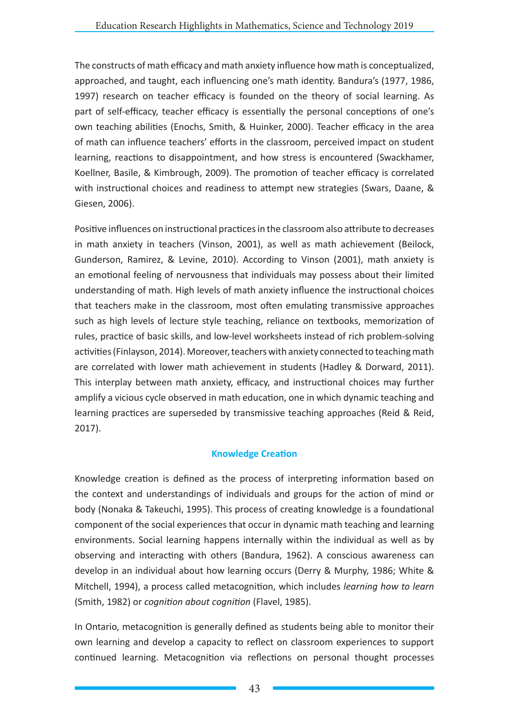The constructs of math efficacy and math anxiety influence how math is conceptualized, approached, and taught, each influencing one's math identity. Bandura's (1977, 1986, 1997) research on teacher efficacy is founded on the theory of social learning. As part of self-efficacy, teacher efficacy is essentially the personal conceptions of one's own teaching abilities (Enochs, Smith, & Huinker, 2000). Teacher efficacy in the area of math can influence teachers' efforts in the classroom, perceived impact on student learning, reactions to disappointment, and how stress is encountered (Swackhamer, Koellner, Basile, & Kimbrough, 2009). The promotion of teacher efficacy is correlated with instructional choices and readiness to attempt new strategies (Swars, Daane, & Giesen, 2006).

Positive influences on instructional practices in the classroom also attribute to decreases in math anxiety in teachers (Vinson, 2001), as well as math achievement (Beilock, Gunderson, Ramirez, & Levine, 2010). According to Vinson (2001), math anxiety is an emotional feeling of nervousness that individuals may possess about their limited understanding of math. High levels of math anxiety influence the instructional choices that teachers make in the classroom, most often emulating transmissive approaches such as high levels of lecture style teaching, reliance on textbooks, memorization of rules, practice of basic skills, and low-level worksheets instead of rich problem-solving activities (Finlayson, 2014). Moreover, teachers with anxiety connected to teaching math are correlated with lower math achievement in students (Hadley & Dorward, 2011). This interplay between math anxiety, efficacy, and instructional choices may further amplify a vicious cycle observed in math education, one in which dynamic teaching and learning practices are superseded by transmissive teaching approaches (Reid & Reid, 2017).

### **Knowledge Creation**

Knowledge creation is defined as the process of interpreting information based on the context and understandings of individuals and groups for the action of mind or body (Nonaka & Takeuchi, 1995). This process of creating knowledge is a foundational component of the social experiences that occur in dynamic math teaching and learning environments. Social learning happens internally within the individual as well as by observing and interacting with others (Bandura, 1962). A conscious awareness can develop in an individual about how learning occurs (Derry & Murphy, 1986; White & Mitchell, 1994), a process called metacognition, which includes *learning how to learn* (Smith, 1982) or *cognition about cognition* (Flavel, 1985).

In Ontario, metacognition is generally defined as students being able to monitor their own learning and develop a capacity to reflect on classroom experiences to support continued learning. Metacognition via reflections on personal thought processes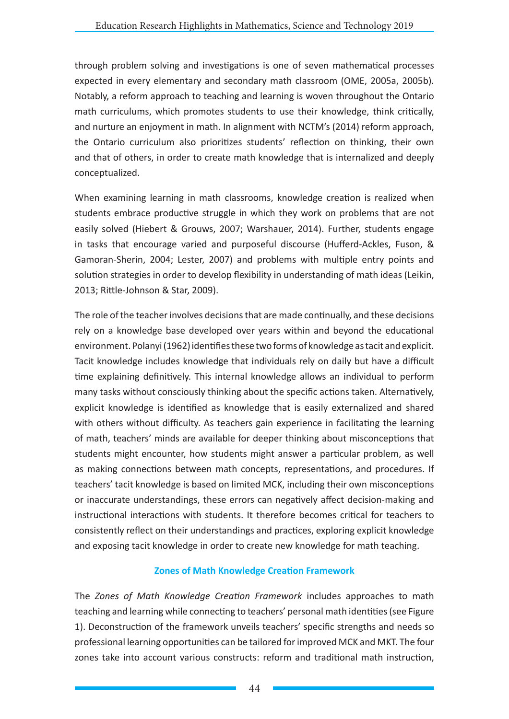through problem solving and investigations is one of seven mathematical processes expected in every elementary and secondary math classroom (OME, 2005a, 2005b). Notably, a reform approach to teaching and learning is woven throughout the Ontario math curriculums, which promotes students to use their knowledge, think critically, and nurture an enjoyment in math. In alignment with NCTM's (2014) reform approach, the Ontario curriculum also prioritizes students' reflection on thinking, their own and that of others, in order to create math knowledge that is internalized and deeply conceptualized.

When examining learning in math classrooms, knowledge creation is realized when students embrace productive struggle in which they work on problems that are not easily solved (Hiebert & Grouws, 2007; Warshauer, 2014). Further, students engage in tasks that encourage varied and purposeful discourse (Hufferd-Ackles, Fuson, & Gamoran-Sherin, 2004; Lester, 2007) and problems with multiple entry points and solution strategies in order to develop flexibility in understanding of math ideas (Leikin, 2013; Rittle-Johnson & Star, 2009).

The role of the teacher involves decisions that are made continually, and these decisions rely on a knowledge base developed over years within and beyond the educational environment. Polanyi (1962) identifies these two forms of knowledge as tacit and explicit. Tacit knowledge includes knowledge that individuals rely on daily but have a difficult time explaining definitively. This internal knowledge allows an individual to perform many tasks without consciously thinking about the specific actions taken. Alternatively, explicit knowledge is identified as knowledge that is easily externalized and shared with others without difficulty. As teachers gain experience in facilitating the learning of math, teachers' minds are available for deeper thinking about misconceptions that students might encounter, how students might answer a particular problem, as well as making connections between math concepts, representations, and procedures. If teachers' tacit knowledge is based on limited MCK, including their own misconceptions or inaccurate understandings, these errors can negatively affect decision-making and instructional interactions with students. It therefore becomes critical for teachers to consistently reflect on their understandings and practices, exploring explicit knowledge and exposing tacit knowledge in order to create new knowledge for math teaching.

### **Zones of Math Knowledge Creation Framework**

The *Zones of Math Knowledge Creation Framework* includes approaches to math teaching and learning while connecting to teachers' personal math identities (see Figure 1). Deconstruction of the framework unveils teachers' specific strengths and needs so professional learning opportunities can be tailored for improved MCK and MKT. The four zones take into account various constructs: reform and traditional math instruction,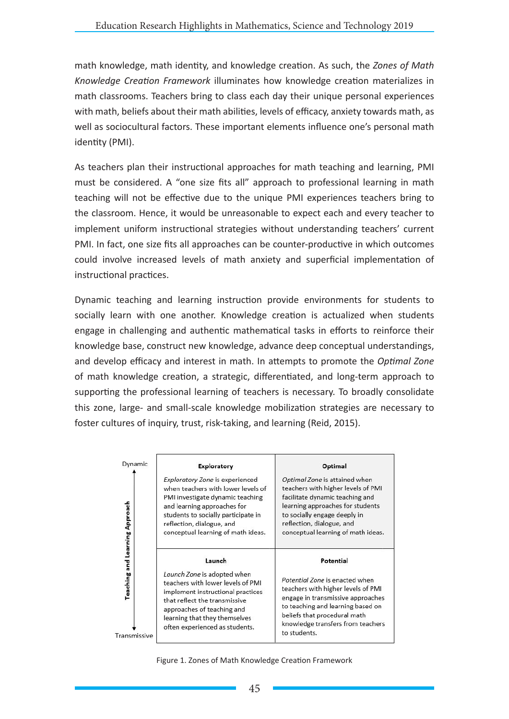math knowledge, math identity, and knowledge creation. As such, the *Zones of Math Knowledge Creation Framework* illuminates how knowledge creation materializes in math classrooms. Teachers bring to class each day their unique personal experiences with math, beliefs about their math abilities, levels of efficacy, anxiety towards math, as well as sociocultural factors. These important elements influence one's personal math identity (PMI).

As teachers plan their instructional approaches for math teaching and learning, PMI must be considered. A "one size fits all" approach to professional learning in math teaching will not be effective due to the unique PMI experiences teachers bring to the classroom. Hence, it would be unreasonable to expect each and every teacher to implement uniform instructional strategies without understanding teachers' current PMI. In fact, one size fits all approaches can be counter-productive in which outcomes could involve increased levels of math anxiety and superficial implementation of instructional practices.

Dynamic teaching and learning instruction provide environments for students to socially learn with one another. Knowledge creation is actualized when students engage in challenging and authentic mathematical tasks in efforts to reinforce their knowledge base, construct new knowledge, advance deep conceptual understandings, and develop efficacy and interest in math. In attempts to promote the *Optimal Zone* of math knowledge creation, a strategic, differentiated, and long-term approach to supporting the professional learning of teachers is necessary. To broadly consolidate this zone, large- and small-scale knowledge mobilization strategies are necessary to foster cultures of inquiry, trust, risk-taking, and learning (Reid, 2015).

| Dynamic                                               | Exploratory                                                                                                                                                                                                                                        | Optimal                                                                                                                                                                                                                                          |
|-------------------------------------------------------|----------------------------------------------------------------------------------------------------------------------------------------------------------------------------------------------------------------------------------------------------|--------------------------------------------------------------------------------------------------------------------------------------------------------------------------------------------------------------------------------------------------|
| <b>Teaching and Learning Approach</b><br>Transmissive | Exploratory Zone is experienced<br>when teachers with lower levels of<br>PMI investigate dynamic teaching<br>and learning approaches for<br>students to socially participate in<br>reflection, dialogue, and<br>conceptual learning of math ideas. | Optimal Zone is attained when<br>teachers with higher levels of PMI<br>facilitate dynamic teaching and<br>learning approaches for students<br>to socially engage deeply in<br>reflection, dialogue, and<br>conceptual learning of math ideas.    |
|                                                       | Launch<br>Launch Zone is adopted when<br>teachers with lower levels of PMI<br>implement instructional practices<br>that reflect the transmissive<br>approaches of teaching and<br>learning that they themselves<br>often experienced as students.  | Potential<br>Potential Zone is enacted when<br>teachers with higher levels of PMI<br>engage in transmissive approaches<br>to teaching and learning based on<br>beliefs that procedural math<br>knowledge transfers from teachers<br>to students. |

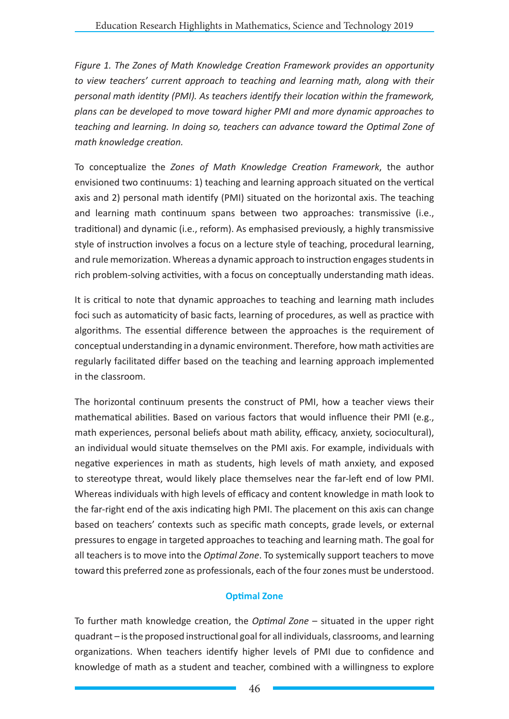*Figure 1. The Zones of Math Knowledge Creation Framework provides an opportunity to view teachers' current approach to teaching and learning math, along with their personal math identity (PMI). As teachers identify their location within the framework, plans can be developed to move toward higher PMI and more dynamic approaches to teaching and learning. In doing so, teachers can advance toward the Optimal Zone of math knowledge creation.* 

To conceptualize the *Zones of Math Knowledge Creation Framework*, the author envisioned two continuums: 1) teaching and learning approach situated on the vertical axis and 2) personal math identify (PMI) situated on the horizontal axis. The teaching and learning math continuum spans between two approaches: transmissive (i.e., traditional) and dynamic (i.e., reform). As emphasised previously, a highly transmissive style of instruction involves a focus on a lecture style of teaching, procedural learning, and rule memorization. Whereas a dynamic approach to instruction engages students in rich problem-solving activities, with a focus on conceptually understanding math ideas.

It is critical to note that dynamic approaches to teaching and learning math includes foci such as automaticity of basic facts, learning of procedures, as well as practice with algorithms. The essential difference between the approaches is the requirement of conceptual understanding in a dynamic environment. Therefore, how math activities are regularly facilitated differ based on the teaching and learning approach implemented in the classroom.

The horizontal continuum presents the construct of PMI, how a teacher views their mathematical abilities. Based on various factors that would influence their PMI (e.g., math experiences, personal beliefs about math ability, efficacy, anxiety, sociocultural), an individual would situate themselves on the PMI axis. For example, individuals with negative experiences in math as students, high levels of math anxiety, and exposed to stereotype threat, would likely place themselves near the far-left end of low PMI. Whereas individuals with high levels of efficacy and content knowledge in math look to the far-right end of the axis indicating high PMI. The placement on this axis can change based on teachers' contexts such as specific math concepts, grade levels, or external pressures to engage in targeted approaches to teaching and learning math. The goal for all teachers is to move into the *Optimal Zone*. To systemically support teachers to move toward this preferred zone as professionals, each of the four zones must be understood.

### **Optimal Zone**

To further math knowledge creation, the *Optimal Zone* – situated in the upper right quadrant – is the proposed instructional goal for all individuals, classrooms, and learning organizations. When teachers identify higher levels of PMI due to confidence and knowledge of math as a student and teacher, combined with a willingness to explore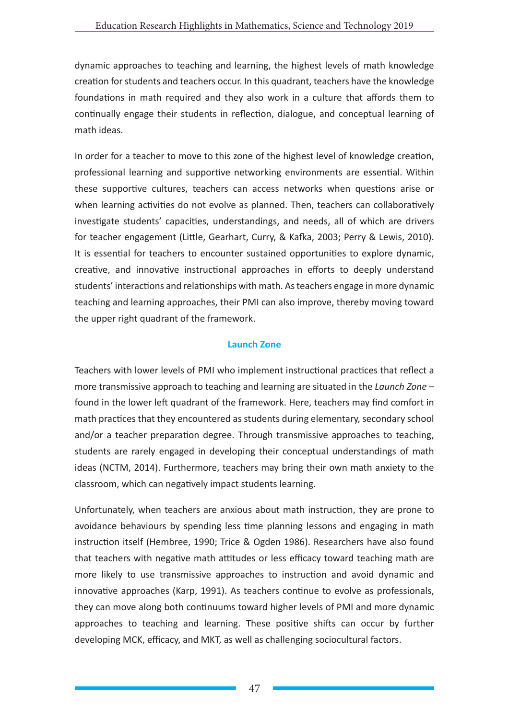dynamic approaches to teaching and learning, the highest levels of math knowledge creation for students and teachers occur. In this quadrant, teachers have the knowledge foundations in math required and they also work in a culture that affords them to continually engage their students in reflection, dialogue, and conceptual learning of math ideas.

In order for a teacher to move to this zone of the highest level of knowledge creation, professional learning and supportive networking environments are essential. Within these supportive cultures, teachers can access networks when questions arise or when learning activities do not evolve as planned. Then, teachers can collaboratively investigate students' capacities, understandings, and needs, all of which are drivers for teacher engagement (Little, Gearhart, Curry, & Kafka, 2003; Perry & Lewis, 2010). It is essential for teachers to encounter sustained opportunities to explore dynamic, creative, and innovative instructional approaches in efforts to deeply understand students' interactions and relationships with math. As teachers engage in more dynamic teaching and learning approaches, their PMI can also improve, thereby moving toward the upper right quadrant of the framework.

### **Launch Zone**

Teachers with lower levels of PMI who implement instructional practices that reflect a more transmissive approach to teaching and learning are situated in the *Launch Zone* – found in the lower left quadrant of the framework. Here, teachers may find comfort in math practices that they encountered as students during elementary, secondary school and/or a teacher preparation degree. Through transmissive approaches to teaching, students are rarely engaged in developing their conceptual understandings of math ideas (NCTM, 2014). Furthermore, teachers may bring their own math anxiety to the classroom, which can negatively impact students learning.

Unfortunately, when teachers are anxious about math instruction, they are prone to avoidance behaviours by spending less time planning lessons and engaging in math instruction itself (Hembree, 1990; Trice & Ogden 1986). Researchers have also found that teachers with negative math attitudes or less efficacy toward teaching math are more likely to use transmissive approaches to instruction and avoid dynamic and innovative approaches (Karp, 1991). As teachers continue to evolve as professionals, they can move along both continuums toward higher levels of PMI and more dynamic approaches to teaching and learning. These positive shifts can occur by further developing MCK, efficacy, and MKT, as well as challenging sociocultural factors.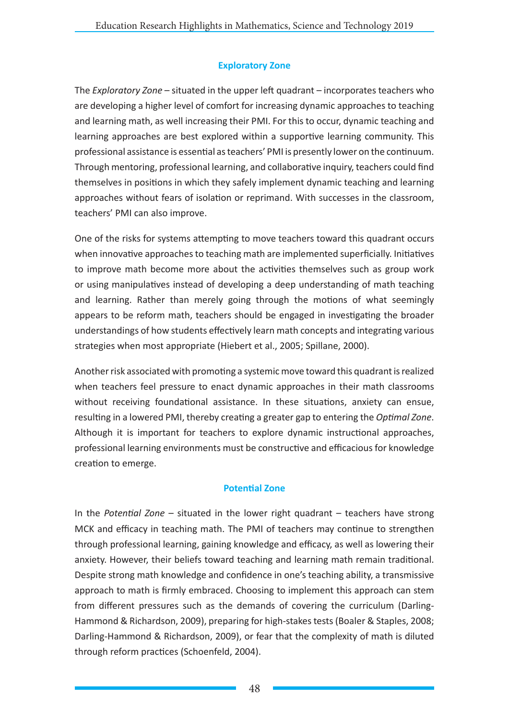## **Exploratory Zone**

The *Exploratory Zone* – situated in the upper left quadrant – incorporates teachers who are developing a higher level of comfort for increasing dynamic approaches to teaching and learning math, as well increasing their PMI. For this to occur, dynamic teaching and learning approaches are best explored within a supportive learning community. This professional assistance is essential as teachers' PMI is presently lower on the continuum. Through mentoring, professional learning, and collaborative inquiry, teachers could find themselves in positions in which they safely implement dynamic teaching and learning approaches without fears of isolation or reprimand. With successes in the classroom, teachers' PMI can also improve.

One of the risks for systems attempting to move teachers toward this quadrant occurs when innovative approaches to teaching math are implemented superficially. Initiatives to improve math become more about the activities themselves such as group work or using manipulatives instead of developing a deep understanding of math teaching and learning. Rather than merely going through the motions of what seemingly appears to be reform math, teachers should be engaged in investigating the broader understandings of how students effectively learn math concepts and integrating various strategies when most appropriate (Hiebert et al., 2005; Spillane, 2000).

Another risk associated with promoting a systemic move toward this quadrant is realized when teachers feel pressure to enact dynamic approaches in their math classrooms without receiving foundational assistance. In these situations, anxiety can ensue, resulting in a lowered PMI, thereby creating a greater gap to entering the *Optimal Zone*. Although it is important for teachers to explore dynamic instructional approaches, professional learning environments must be constructive and efficacious for knowledge creation to emerge.

### **Potential Zone**

In the *Potential Zone* – situated in the lower right quadrant – teachers have strong MCK and efficacy in teaching math. The PMI of teachers may continue to strengthen through professional learning, gaining knowledge and efficacy, as well as lowering their anxiety. However, their beliefs toward teaching and learning math remain traditional. Despite strong math knowledge and confidence in one's teaching ability, a transmissive approach to math is firmly embraced. Choosing to implement this approach can stem from different pressures such as the demands of covering the curriculum (Darling-Hammond & Richardson, 2009), preparing for high-stakes tests (Boaler & Staples, 2008; Darling-Hammond & Richardson, 2009), or fear that the complexity of math is diluted through reform practices (Schoenfeld, 2004).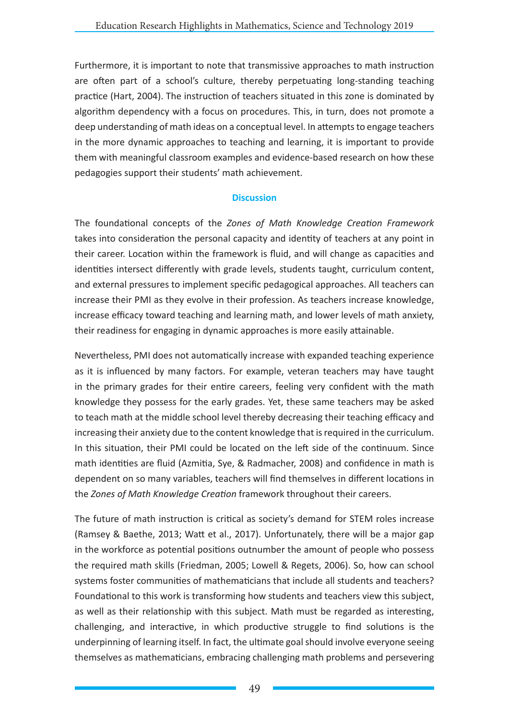Furthermore, it is important to note that transmissive approaches to math instruction are often part of a school's culture, thereby perpetuating long-standing teaching practice (Hart, 2004). The instruction of teachers situated in this zone is dominated by algorithm dependency with a focus on procedures. This, in turn, does not promote a deep understanding of math ideas on a conceptual level. In attempts to engage teachers in the more dynamic approaches to teaching and learning, it is important to provide them with meaningful classroom examples and evidence-based research on how these pedagogies support their students' math achievement.

### **Discussion**

The foundational concepts of the *Zones of Math Knowledge Creation Framework* takes into consideration the personal capacity and identity of teachers at any point in their career. Location within the framework is fluid, and will change as capacities and identities intersect differently with grade levels, students taught, curriculum content, and external pressures to implement specific pedagogical approaches. All teachers can increase their PMI as they evolve in their profession. As teachers increase knowledge, increase efficacy toward teaching and learning math, and lower levels of math anxiety, their readiness for engaging in dynamic approaches is more easily attainable.

Nevertheless, PMI does not automatically increase with expanded teaching experience as it is influenced by many factors. For example, veteran teachers may have taught in the primary grades for their entire careers, feeling very confident with the math knowledge they possess for the early grades. Yet, these same teachers may be asked to teach math at the middle school level thereby decreasing their teaching efficacy and increasing their anxiety due to the content knowledge that is required in the curriculum. In this situation, their PMI could be located on the left side of the continuum. Since math identities are fluid (Azmitia, Sye, & Radmacher, 2008) and confidence in math is dependent on so many variables, teachers will find themselves in different locations in the *Zones of Math Knowledge Creation* framework throughout their careers.

The future of math instruction is critical as society's demand for STEM roles increase (Ramsey & Baethe, 2013; Watt et al., 2017). Unfortunately, there will be a major gap in the workforce as potential positions outnumber the amount of people who possess the required math skills (Friedman, 2005; Lowell & Regets, 2006). So, how can school systems foster communities of mathematicians that include all students and teachers? Foundational to this work is transforming how students and teachers view this subject, as well as their relationship with this subject. Math must be regarded as interesting, challenging, and interactive, in which productive struggle to find solutions is the underpinning of learning itself. In fact, the ultimate goal should involve everyone seeing themselves as mathematicians, embracing challenging math problems and persevering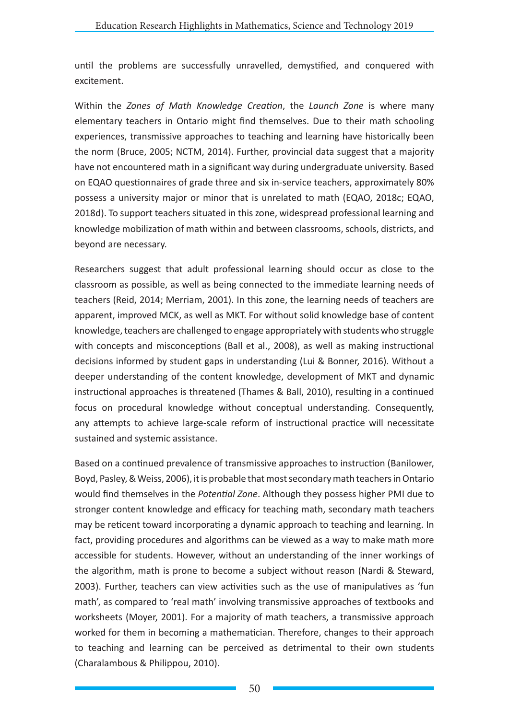until the problems are successfully unravelled, demystified, and conquered with excitement.

Within the *Zones of Math Knowledge Creation*, the *Launch Zone* is where many elementary teachers in Ontario might find themselves. Due to their math schooling experiences, transmissive approaches to teaching and learning have historically been the norm (Bruce, 2005; NCTM, 2014). Further, provincial data suggest that a majority have not encountered math in a significant way during undergraduate university. Based on EQAO questionnaires of grade three and six in-service teachers, approximately 80% possess a university major or minor that is unrelated to math (EQAO, 2018c; EQAO, 2018d). To support teachers situated in this zone, widespread professional learning and knowledge mobilization of math within and between classrooms, schools, districts, and beyond are necessary.

Researchers suggest that adult professional learning should occur as close to the classroom as possible, as well as being connected to the immediate learning needs of teachers (Reid, 2014; Merriam, 2001). In this zone, the learning needs of teachers are apparent, improved MCK, as well as MKT. For without solid knowledge base of content knowledge, teachers are challenged to engage appropriately with students who struggle with concepts and misconceptions (Ball et al., 2008), as well as making instructional decisions informed by student gaps in understanding (Lui & Bonner, 2016). Without a deeper understanding of the content knowledge, development of MKT and dynamic instructional approaches is threatened (Thames & Ball, 2010), resulting in a continued focus on procedural knowledge without conceptual understanding. Consequently, any attempts to achieve large-scale reform of instructional practice will necessitate sustained and systemic assistance.

Based on a continued prevalence of transmissive approaches to instruction (Banilower, Boyd, Pasley, & Weiss, 2006), it is probable that most secondary math teachers in Ontario would find themselves in the *Potential Zone*. Although they possess higher PMI due to stronger content knowledge and efficacy for teaching math, secondary math teachers may be reticent toward incorporating a dynamic approach to teaching and learning. In fact, providing procedures and algorithms can be viewed as a way to make math more accessible for students. However, without an understanding of the inner workings of the algorithm, math is prone to become a subject without reason (Nardi & Steward, 2003). Further, teachers can view activities such as the use of manipulatives as 'fun math', as compared to 'real math' involving transmissive approaches of textbooks and worksheets (Moyer, 2001). For a majority of math teachers, a transmissive approach worked for them in becoming a mathematician. Therefore, changes to their approach to teaching and learning can be perceived as detrimental to their own students (Charalambous & Philippou, 2010).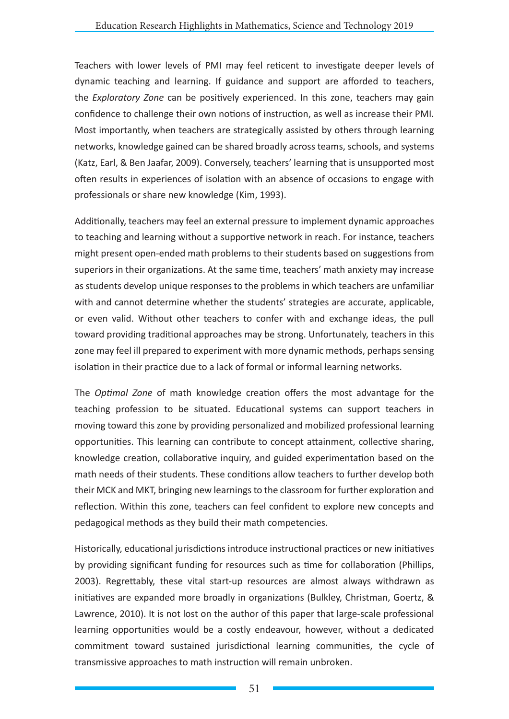Teachers with lower levels of PMI may feel reticent to investigate deeper levels of dynamic teaching and learning. If guidance and support are afforded to teachers, the *Exploratory Zone* can be positively experienced. In this zone, teachers may gain confidence to challenge their own notions of instruction, as well as increase their PMI. Most importantly, when teachers are strategically assisted by others through learning networks, knowledge gained can be shared broadly across teams, schools, and systems (Katz, Earl, & Ben Jaafar, 2009). Conversely, teachers' learning that is unsupported most often results in experiences of isolation with an absence of occasions to engage with professionals or share new knowledge (Kim, 1993).

Additionally, teachers may feel an external pressure to implement dynamic approaches to teaching and learning without a supportive network in reach. For instance, teachers might present open-ended math problems to their students based on suggestions from superiors in their organizations. At the same time, teachers' math anxiety may increase as students develop unique responses to the problems in which teachers are unfamiliar with and cannot determine whether the students' strategies are accurate, applicable, or even valid. Without other teachers to confer with and exchange ideas, the pull toward providing traditional approaches may be strong. Unfortunately, teachers in this zone may feel ill prepared to experiment with more dynamic methods, perhaps sensing isolation in their practice due to a lack of formal or informal learning networks.

The *Optimal Zone* of math knowledge creation offers the most advantage for the teaching profession to be situated. Educational systems can support teachers in moving toward this zone by providing personalized and mobilized professional learning opportunities. This learning can contribute to concept attainment, collective sharing, knowledge creation, collaborative inquiry, and guided experimentation based on the math needs of their students. These conditions allow teachers to further develop both their MCK and MKT, bringing new learnings to the classroom for further exploration and reflection. Within this zone, teachers can feel confident to explore new concepts and pedagogical methods as they build their math competencies.

Historically, educational jurisdictions introduce instructional practices or new initiatives by providing significant funding for resources such as time for collaboration (Phillips, 2003). Regrettably, these vital start-up resources are almost always withdrawn as initiatives are expanded more broadly in organizations (Bulkley, Christman, Goertz, & Lawrence, 2010). It is not lost on the author of this paper that large-scale professional learning opportunities would be a costly endeavour, however, without a dedicated commitment toward sustained jurisdictional learning communities, the cycle of transmissive approaches to math instruction will remain unbroken.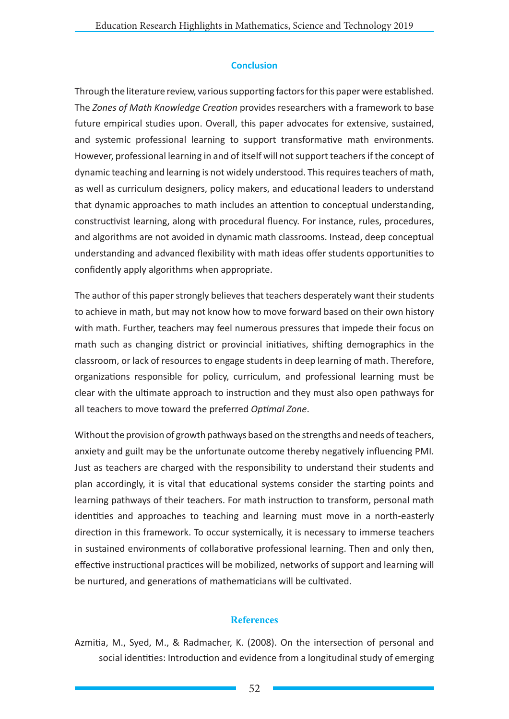### **Conclusion**

Through the literature review, various supporting factors for this paper were established. The *Zones of Math Knowledge Creation* provides researchers with a framework to base future empirical studies upon. Overall, this paper advocates for extensive, sustained, and systemic professional learning to support transformative math environments. However, professional learning in and of itself will not support teachers if the concept of dynamic teaching and learning is not widely understood. This requires teachers of math, as well as curriculum designers, policy makers, and educational leaders to understand that dynamic approaches to math includes an attention to conceptual understanding, constructivist learning, along with procedural fluency. For instance, rules, procedures, and algorithms are not avoided in dynamic math classrooms. Instead, deep conceptual understanding and advanced flexibility with math ideas offer students opportunities to confidently apply algorithms when appropriate.

The author of this paper strongly believes that teachers desperately want their students to achieve in math, but may not know how to move forward based on their own history with math. Further, teachers may feel numerous pressures that impede their focus on math such as changing district or provincial initiatives, shifting demographics in the classroom, or lack of resources to engage students in deep learning of math. Therefore, organizations responsible for policy, curriculum, and professional learning must be clear with the ultimate approach to instruction and they must also open pathways for all teachers to move toward the preferred *Optimal Zone*.

Without the provision of growth pathways based on the strengths and needs of teachers, anxiety and guilt may be the unfortunate outcome thereby negatively influencing PMI. Just as teachers are charged with the responsibility to understand their students and plan accordingly, it is vital that educational systems consider the starting points and learning pathways of their teachers. For math instruction to transform, personal math identities and approaches to teaching and learning must move in a north-easterly direction in this framework. To occur systemically, it is necessary to immerse teachers in sustained environments of collaborative professional learning. Then and only then, effective instructional practices will be mobilized, networks of support and learning will be nurtured, and generations of mathematicians will be cultivated.

### **References**

Azmitia, M., Syed, M., & Radmacher, K. (2008). On the intersection of personal and social identities: Introduction and evidence from a longitudinal study of emerging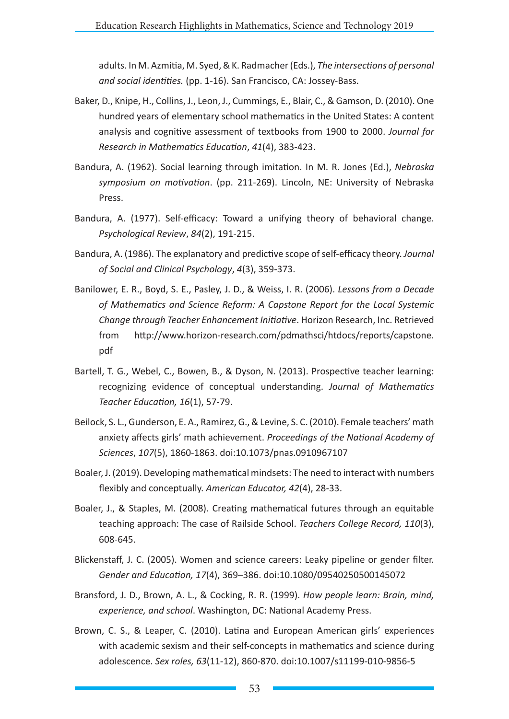adults. In M. Azmitia, M. Syed, & K. Radmacher (Eds.), *The intersections of personal and social identities.* (pp. 1-16). San Francisco, CA: Jossey-Bass.

- Baker, D., Knipe, H., Collins, J., Leon, J., Cummings, E., Blair, C., & Gamson, D. (2010). One hundred years of elementary school mathematics in the United States: A content analysis and cognitive assessment of textbooks from 1900 to 2000. *Journal for Research in Mathematics Education*, *41*(4), 383-423.
- Bandura, A. (1962). Social learning through imitation. In M. R. Jones (Ed.), *Nebraska symposium on motivation*. (pp. 211-269). Lincoln, NE: University of Nebraska Press.
- Bandura, A. (1977). Self-efficacy: Toward a unifying theory of behavioral change. *Psychological Review*, *84*(2), 191-215.
- Bandura, A. (1986). The explanatory and predictive scope of self-efficacy theory. *Journal of Social and Clinical Psychology*, *4*(3), 359-373.
- Banilower, E. R., Boyd, S. E., Pasley, J. D., & Weiss, I. R. (2006). *Lessons from a Decade of Mathematics and Science Reform: A Capstone Report for the Local Systemic Change through Teacher Enhancement Initiative*. Horizon Research, Inc. Retrieved from http://www.horizon-research.com/pdmathsci/htdocs/reports/capstone. pdf
- Bartell, T. G., Webel, C., Bowen, B., & Dyson, N. (2013). Prospective teacher learning: recognizing evidence of conceptual understanding. *Journal of Mathematics Teacher Education, 16*(1), 57-79.
- Beilock, S. L., Gunderson, E. A., Ramirez, G., & Levine, S. C. (2010). Female teachers' math anxiety affects girls' math achievement. *Proceedings of the National Academy of Sciences*, *107*(5), 1860-1863. doi:10.1073/pnas.0910967107
- Boaler, J. (2019). Developing mathematical mindsets: The need to interact with numbers flexibly and conceptually. *American Educator, 42*(4), 28-33.
- Boaler, J., & Staples, M. (2008). Creating mathematical futures through an equitable teaching approach: The case of Railside School. *Teachers College Record, 110*(3), 608-645.
- Blickenstaff, J. C. (2005). Women and science careers: Leaky pipeline or gender filter. *Gender and Education, 17*(4), 369–386. doi:10.1080/09540250500145072
- Bransford, J. D., Brown, A. L., & Cocking, R. R. (1999). *How people learn: Brain, mind, experience, and school*. Washington, DC: National Academy Press.
- Brown, C. S., & Leaper, C. (2010). Latina and European American girls' experiences with academic sexism and their self-concepts in mathematics and science during adolescence. *Sex roles, 63*(11-12), 860-870. doi:10.1007/s11199-010-9856-5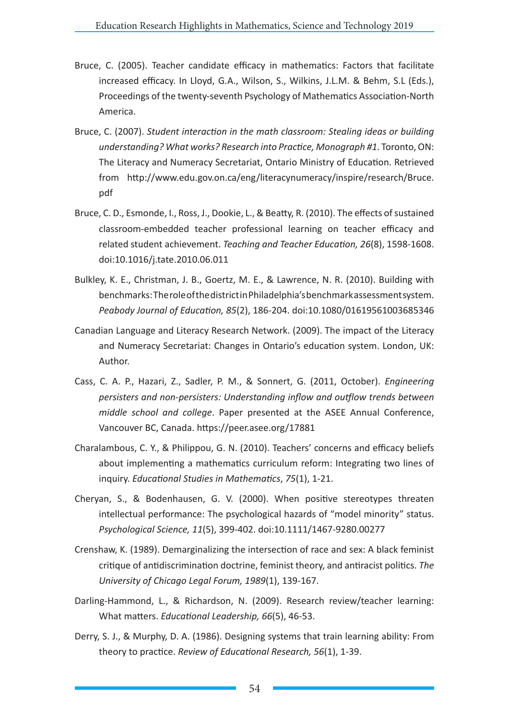- Bruce, C. (2005). Teacher candidate efficacy in mathematics: Factors that facilitate increased efficacy. In Lloyd, G.A., Wilson, S., Wilkins, J.L.M. & Behm, S.L (Eds.), Proceedings of the twenty-seventh Psychology of Mathematics Association-North America.
- Bruce, C. (2007). *Student interaction in the math classroom: Stealing ideas or building understanding? What works? Research into Practice, Monograph #1.* Toronto, ON: The Literacy and Numeracy Secretariat, Ontario Ministry of Education. Retrieved from http://www.edu.gov.on.ca/eng/literacynumeracy/inspire/research/Bruce. pdf
- Bruce, C. D., Esmonde, I., Ross, J., Dookie, L., & Beatty, R. (2010). The effects of sustained classroom-embedded teacher professional learning on teacher efficacy and related student achievement. *Teaching and Teacher Education, 26*(8), 1598-1608. doi:10.1016/j.tate.2010.06.011
- Bulkley, K. E., Christman, J. B., Goertz, M. E., & Lawrence, N. R. (2010). Building with benchmarks: The role of the district in Philadelphia's benchmark assessment system. *Peabody Journal of Education, 85*(2), 186-204. doi:10.1080/01619561003685346
- Canadian Language and Literacy Research Network. (2009). The impact of the Literacy and Numeracy Secretariat: Changes in Ontario's education system. London, UK: Author.
- Cass, C. A. P., Hazari, Z., Sadler, P. M., & Sonnert, G. (2011, October). *Engineering persisters and non-persisters: Understanding inflow and outflow trends between middle school and college*. Paper presented at the ASEE Annual Conference, Vancouver BC, Canada. https://peer.asee.org/17881
- Charalambous, C. Y., & Philippou, G. N. (2010). Teachers' concerns and efficacy beliefs about implementing a mathematics curriculum reform: Integrating two lines of inquiry. *Educational Studies in Mathematics*, *75*(1), 1-21.
- Cheryan, S., & Bodenhausen, G. V. (2000). When positive stereotypes threaten intellectual performance: The psychological hazards of "model minority" status. *Psychological Science, 11*(5), 399-402. doi:10.1111/1467-9280.00277
- Crenshaw, K. (1989). Demarginalizing the intersection of race and sex: A black feminist critique of antidiscrimination doctrine, feminist theory, and antiracist politics. *The University of Chicago Legal Forum, 1989*(1), 139-167.
- Darling-Hammond, L., & Richardson, N. (2009). Research review/teacher learning: What matters. *Educational Leadership, 66*(5), 46-53.
- Derry, S. J., & Murphy, D. A. (1986). Designing systems that train learning ability: From theory to practice. *Review of Educational Research, 56*(1), 1-39.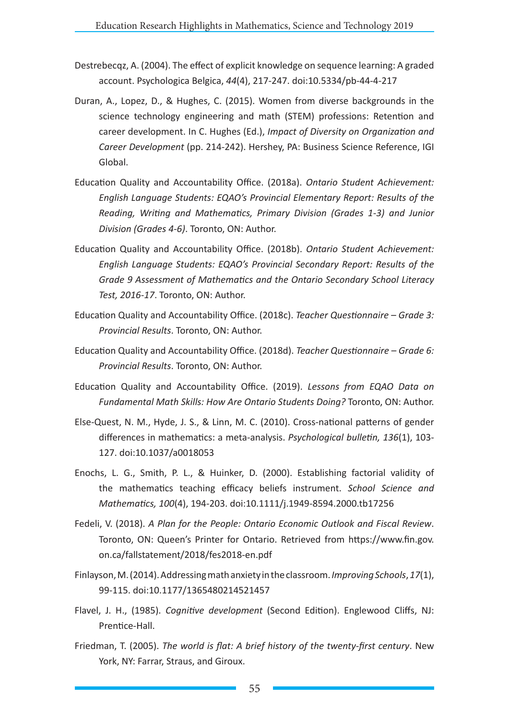- Destrebecqz, A. (2004). The effect of explicit knowledge on sequence learning: A graded account. Psychologica Belgica, *44*(4), 217-247. doi:10.5334/pb-44-4-217
- Duran, A., Lopez, D., & Hughes, C. (2015). Women from diverse backgrounds in the science technology engineering and math (STEM) professions: Retention and career development. In C. Hughes (Ed.), *Impact of Diversity on Organization and Career Development* (pp. 214-242). Hershey, PA: Business Science Reference, IGI Global.
- Education Quality and Accountability Office. (2018a). *Ontario Student Achievement: English Language Students: EQAO's Provincial Elementary Report: Results of the Reading, Writing and Mathematics, Primary Division (Grades 1-3) and Junior Division (Grades 4-6)*. Toronto, ON: Author.
- Education Quality and Accountability Office. (2018b). *Ontario Student Achievement: English Language Students: EQAO's Provincial Secondary Report: Results of the Grade 9 Assessment of Mathematics and the Ontario Secondary School Literacy Test, 2016-17*. Toronto, ON: Author.
- Education Quality and Accountability Office. (2018c). *Teacher Questionnaire Grade 3: Provincial Results*. Toronto, ON: Author.
- Education Quality and Accountability Office. (2018d). *Teacher Questionnaire Grade 6: Provincial Results*. Toronto, ON: Author.
- Education Quality and Accountability Office. (2019). *Lessons from EQAO Data on Fundamental Math Skills: How Are Ontario Students Doing?* Toronto, ON: Author.
- Else-Quest, N. M., Hyde, J. S., & Linn, M. C. (2010). Cross-national patterns of gender differences in mathematics: a meta-analysis. *Psychological bulletin, 136*(1), 103- 127. doi:10.1037/a0018053
- Enochs, L. G., Smith, P. L., & Huinker, D. (2000). Establishing factorial validity of the mathematics teaching efficacy beliefs instrument. *School Science and Mathematics, 100*(4), 194-203. doi:10.1111/j.1949-8594.2000.tb17256
- Fedeli, V. (2018). *A Plan for the People: Ontario Economic Outlook and Fiscal Review*. Toronto, ON: Queen's Printer for Ontario. Retrieved from https://www.fin.gov. on.ca/fallstatement/2018/fes2018-en.pdf
- Finlayson, M. (2014). Addressing math anxiety in the classroom.*Improving Schools*,*17*(1), 99-115. doi:10.1177/1365480214521457
- Flavel, J. H., (1985). *Cognitive development* (Second Edition). Englewood Cliffs, NJ: Prentice-Hall.
- Friedman, T. (2005). *The world is flat: A brief history of the twenty-first century*. New York, NY: Farrar, Straus, and Giroux.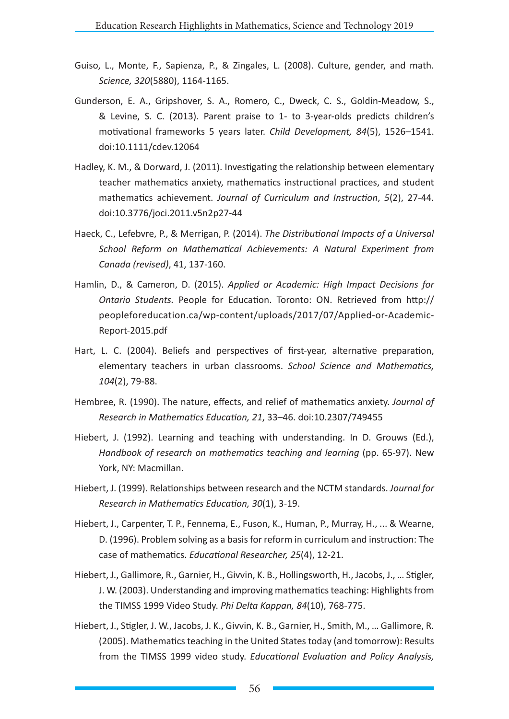- Guiso, L., Monte, F., Sapienza, P., & Zingales, L. (2008). Culture, gender, and math. *Science, 320*(5880), 1164-1165.
- Gunderson, E. A., Gripshover, S. A., Romero, C., Dweck, C. S., Goldin-Meadow, S., & Levine, S. C. (2013). Parent praise to 1- to 3-year-olds predicts children's motivational frameworks 5 years later. *Child Development, 84*(5), 1526–1541. doi:10.1111/cdev.12064
- Hadley, K. M., & Dorward, J. (2011). Investigating the relationship between elementary teacher mathematics anxiety, mathematics instructional practices, and student mathematics achievement. *Journal of Curriculum and Instruction*, *5*(2), 27-44. doi:10.3776/joci.2011.v5n2p27-44
- Haeck, C., Lefebvre, P., & Merrigan, P. (2014). *The Distributional Impacts of a Universal School Reform on Mathematical Achievements: A Natural Experiment from Canada (revised)*, 41, 137-160.
- Hamlin, D., & Cameron, D. (2015). *Applied or Academic: High Impact Decisions for Ontario Students.* People for Education. Toronto: ON. Retrieved from http:// peopleforeducation.ca/wp-content/uploads/2017/07/Applied-or-Academic-Report-2015.pdf
- Hart, L. C. (2004). Beliefs and perspectives of first-year, alternative preparation, elementary teachers in urban classrooms. *School Science and Mathematics, 104*(2), 79-88.
- Hembree, R. (1990). The nature, effects, and relief of mathematics anxiety. *Journal of Research in Mathematics Education, 21*, 33–46. doi:10.2307/749455
- Hiebert, J. (1992). Learning and teaching with understanding. In D. Grouws (Ed.), *Handbook of research on mathematics teaching and learning (pp. 65-97). New* York, NY: Macmillan.
- Hiebert, J. (1999). Relationships between research and the NCTM standards. *Journal for Research in Mathematics Education, 30*(1), 3-19.
- Hiebert, J., Carpenter, T. P., Fennema, E., Fuson, K., Human, P., Murray, H., ... & Wearne, D. (1996). Problem solving as a basis for reform in curriculum and instruction: The case of mathematics. *Educational Researcher, 25*(4), 12-21.
- Hiebert, J., Gallimore, R., Garnier, H., Givvin, K. B., Hollingsworth, H., Jacobs, J., … Stigler, J. W. (2003). Understanding and improving mathematics teaching: Highlights from the TIMSS 1999 Video Study. *Phi Delta Kappan, 84*(10), 768-775.
- Hiebert, J., Stigler, J. W., Jacobs, J. K., Givvin, K. B., Garnier, H., Smith, M., … Gallimore, R. (2005). Mathematics teaching in the United States today (and tomorrow): Results from the TIMSS 1999 video study. *Educational Evaluation and Policy Analysis,*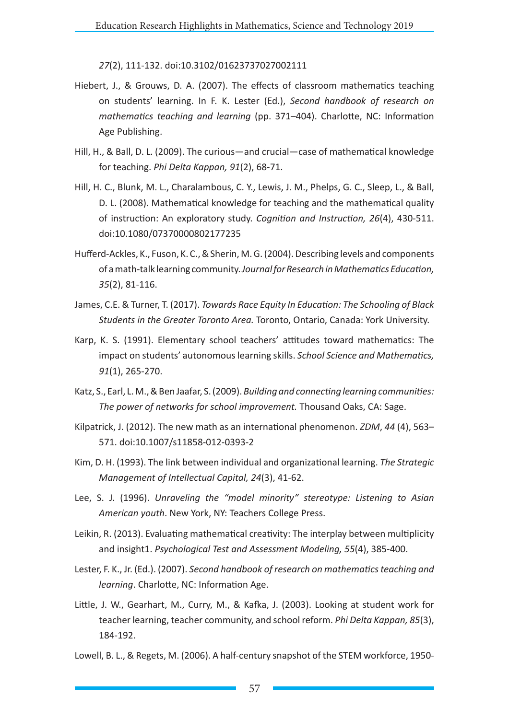*27*(2), 111-132. doi:10.3102/01623737027002111

- Hiebert, J., & Grouws, D. A. (2007). The effects of classroom mathematics teaching on students' learning. In F. K. Lester (Ed.), *Second handbook of research on mathematics teaching and learning* (pp. 371–404). Charlotte, NC: Information Age Publishing.
- Hill, H., & Ball, D. L. (2009). The curious—and crucial—case of mathematical knowledge for teaching. *Phi Delta Kappan, 91*(2), 68-71.
- Hill, H. C., Blunk, M. L., Charalambous, C. Y., Lewis, J. M., Phelps, G. C., Sleep, L., & Ball, D. L. (2008). Mathematical knowledge for teaching and the mathematical quality of instruction: An exploratory study. *Cognition and Instruction, 26*(4), 430-511. doi:10.1080/07370000802177235
- Hufferd-Ackles, K., Fuson, K. C., & Sherin, M. G. (2004). Describing levels and components of a math-talk learning community. *Journal for Research in Mathematics Education, 35*(2), 81-116.
- James, C.E. & Turner, T. (2017). *Towards Race Equity In Education: The Schooling of Black Students in the Greater Toronto Area.* Toronto, Ontario, Canada: York University.
- Karp, K. S. (1991). Elementary school teachers' attitudes toward mathematics: The impact on students' autonomous learning skills. *School Science and Mathematics, 91*(1), 265-270.
- Katz, S., Earl, L. M., & Ben Jaafar, S. (2009). *Building and connecting learning communities: The power of networks for school improvement.* Thousand Oaks, CA: Sage.
- Kilpatrick, J. (2012). The new math as an international phenomenon. *ZDM*, *44* (4), 563– 571. doi:10.1007/s11858-012-0393-2
- Kim, D. H. (1993). The link between individual and organizational learning. *The Strategic Management of Intellectual Capital, 24*(3), 41-62.
- Lee, S. J. (1996). *Unraveling the "model minority" stereotype: Listening to Asian American youth*. New York, NY: Teachers College Press.
- Leikin, R. (2013). Evaluating mathematical creativity: The interplay between multiplicity and insight1. *Psychological Test and Assessment Modeling, 55*(4), 385-400.
- Lester, F. K., Jr. (Ed.). (2007). *Second handbook of research on mathematics teaching and learning*. Charlotte, NC: Information Age.
- Little, J. W., Gearhart, M., Curry, M., & Kafka, J. (2003). Looking at student work for teacher learning, teacher community, and school reform. *Phi Delta Kappan, 85*(3), 184-192.
- Lowell, B. L., & Regets, M. (2006). A half-century snapshot of the STEM workforce, 1950-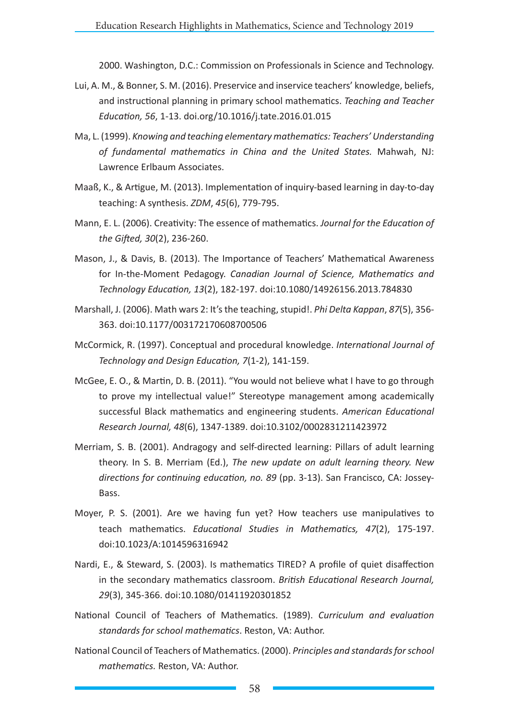2000. Washington, D.C.: Commission on Professionals in Science and Technology.

- Lui, A. M., & Bonner, S. M. (2016). Preservice and inservice teachers' knowledge, beliefs, and instructional planning in primary school mathematics. *Teaching and Teacher Education, 56*, 1-13. doi.org/10.1016/j.tate.2016.01.015
- Ma, L. (1999). *Knowing and teaching elementary mathematics: Teachers' Understanding of fundamental mathematics in China and the United States.* Mahwah, NJ: Lawrence Erlbaum Associates.
- Maaß, K., & Artigue, M. (2013). Implementation of inquiry-based learning in day-to-day teaching: A synthesis. *ZDM*, *45*(6), 779-795.
- Mann, E. L. (2006). Creativity: The essence of mathematics. *Journal for the Education of the Gifted, 30*(2), 236-260.
- Mason, J., & Davis, B. (2013). The Importance of Teachers' Mathematical Awareness for In-the-Moment Pedagogy. *Canadian Journal of Science, Mathematics and Technology Education, 13*(2), 182-197. doi:10.1080/14926156.2013.784830
- Marshall, J. (2006). Math wars 2: It's the teaching, stupid!. *Phi Delta Kappan*, *87*(5), 356- 363. doi:10.1177/003172170608700506
- McCormick, R. (1997). Conceptual and procedural knowledge. *International Journal of Technology and Design Education, 7*(1-2), 141-159.
- McGee, E. O., & Martin, D. B. (2011). "You would not believe what I have to go through to prove my intellectual value!" Stereotype management among academically successful Black mathematics and engineering students. *American Educational Research Journal, 48*(6), 1347-1389. doi:10.3102/0002831211423972
- Merriam, S. B. (2001). Andragogy and self-directed learning: Pillars of adult learning theory. In S. B. Merriam (Ed.), *The new update on adult learning theory. New directions for continuing education, no. 89* (pp. 3-13). San Francisco, CA: Jossey-Bass.
- Moyer, P. S. (2001). Are we having fun yet? How teachers use manipulatives to teach mathematics. *Educational Studies in Mathematics, 47*(2), 175-197. doi:10.1023/A:1014596316942
- Nardi, E., & Steward, S. (2003). Is mathematics TIRED? A profile of quiet disaffection in the secondary mathematics classroom. *British Educational Research Journal, 29*(3), 345-366. doi:10.1080/01411920301852
- National Council of Teachers of Mathematics. (1989). *Curriculum and evaluation standards for school mathematics*. Reston, VA: Author.
- National Council of Teachers of Mathematics. (2000). *Principles and standards for school mathematics.* Reston, VA: Author.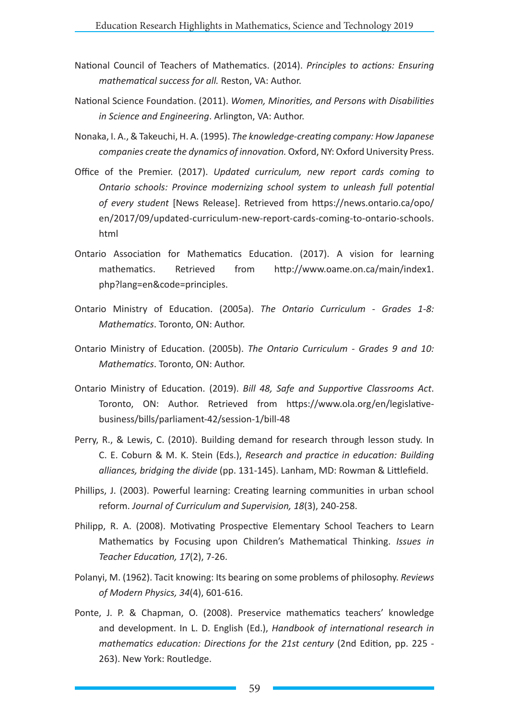- National Council of Teachers of Mathematics. (2014). *Principles to actions: Ensuring mathematical success for all.* Reston, VA: Author.
- National Science Foundation. (2011). *Women, Minorities, and Persons with Disabilities in Science and Engineering*. Arlington, VA: Author.
- Nonaka, I. A., & Takeuchi, H. A. (1995). *The knowledge-creating company: How Japanese companies create the dynamics of innovation.* Oxford, NY: Oxford University Press.
- Office of the Premier. (2017). *Updated curriculum, new report cards coming to Ontario schools: Province modernizing school system to unleash full potential of every student* [News Release]. Retrieved from https://news.ontario.ca/opo/ en/2017/09/updated-curriculum-new-report-cards-coming-to-ontario-schools. html
- Ontario Association for Mathematics Education. (2017). A vision for learning mathematics. Retrieved from http://www.oame.on.ca/main/index1. php?lang=en&code=principles.
- Ontario Ministry of Education. (2005a). *The Ontario Curriculum Grades 1-8: Mathematics*. Toronto, ON: Author.
- Ontario Ministry of Education. (2005b). *The Ontario Curriculum Grades 9 and 10: Mathematics*. Toronto, ON: Author.
- Ontario Ministry of Education. (2019). *Bill 48, Safe and Supportive Classrooms Act*. Toronto, ON: Author. Retrieved from https://www.ola.org/en/legislativebusiness/bills/parliament-42/session-1/bill-48
- Perry, R., & Lewis, C. (2010). Building demand for research through lesson study. In C. E. Coburn & M. K. Stein (Eds.), *Research and practice in education: Building alliances, bridging the divide* (pp. 131-145). Lanham, MD: Rowman & Littlefield.
- Phillips, J. (2003). Powerful learning: Creating learning communities in urban school reform. *Journal of Curriculum and Supervision, 18*(3), 240-258.
- Philipp, R. A. (2008). Motivating Prospective Elementary School Teachers to Learn Mathematics by Focusing upon Children's Mathematical Thinking. *Issues in Teacher Education, 17*(2), 7-26.
- Polanyi, M. (1962). Tacit knowing: Its bearing on some problems of philosophy. *Reviews of Modern Physics, 34*(4), 601-616.
- Ponte, J. P. & Chapman, O. (2008). Preservice mathematics teachers' knowledge and development. In L. D. English (Ed.), *Handbook of international research in mathematics education: Directions for the 21st century* (2nd Edition, pp. 225 - 263). New York: Routledge.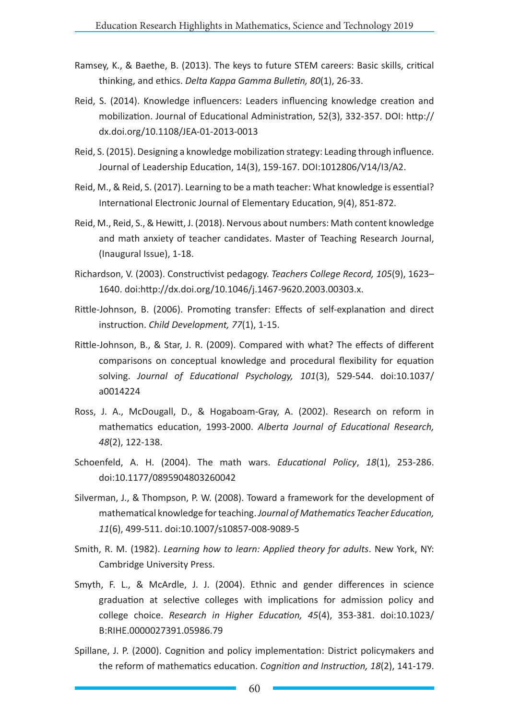- Ramsey, K., & Baethe, B. (2013). The keys to future STEM careers: Basic skills, critical thinking, and ethics. *Delta Kappa Gamma Bulletin, 80*(1), 26-33.
- Reid, S. (2014). Knowledge influencers: Leaders influencing knowledge creation and mobilization. Journal of Educational Administration, 52(3), 332-357. DOI: http:// dx.doi.org/10.1108/JEA-01-2013-0013
- Reid, S. (2015). Designing a knowledge mobilization strategy: Leading through influence. Journal of Leadership Education, 14(3), 159-167. DOI:1012806/V14/I3/A2.
- Reid, M., & Reid, S. (2017). Learning to be a math teacher: What knowledge is essential? International Electronic Journal of Elementary Education, 9(4), 851-872.
- Reid, M., Reid, S., & Hewitt, J. (2018). Nervous about numbers: Math content knowledge and math anxiety of teacher candidates. Master of Teaching Research Journal, (Inaugural Issue), 1-18.
- Richardson, V. (2003). Constructivist pedagogy. *Teachers College Record, 105*(9), 1623– 1640. doi:http://dx.doi.org/10.1046/j.1467-9620.2003.00303.x.
- Rittle-Johnson, B. (2006). Promoting transfer: Effects of self-explanation and direct instruction. *Child Development, 77*(1), 1-15.
- Rittle-Johnson, B., & Star, J. R. (2009). Compared with what? The effects of different comparisons on conceptual knowledge and procedural flexibility for equation solving. *Journal of Educational Psychology, 101*(3), 529-544. doi:10.1037/ a0014224
- Ross, J. A., McDougall, D., & Hogaboam-Gray, A. (2002). Research on reform in mathematics education, 1993-2000. *Alberta Journal of Educational Research, 48*(2), 122-138.
- Schoenfeld, A. H. (2004). The math wars. *Educational Policy*, *18*(1), 253-286. doi:10.1177/0895904803260042
- Silverman, J., & Thompson, P. W. (2008). Toward a framework for the development of mathematical knowledge for teaching. *Journal of Mathematics Teacher Education, 11*(6), 499-511. doi:10.1007/s10857-008-9089-5
- Smith, R. M. (1982). *Learning how to learn: Applied theory for adults*. New York, NY: Cambridge University Press.
- Smyth, F. L., & McArdle, J. J. (2004). Ethnic and gender differences in science graduation at selective colleges with implications for admission policy and college choice. *Research in Higher Education, 45*(4), 353-381. doi:10.1023/ B:RIHE.0000027391.05986.79
- Spillane, J. P. (2000). Cognition and policy implementation: District policymakers and the reform of mathematics education. *Cognition and Instruction, 18*(2), 141-179.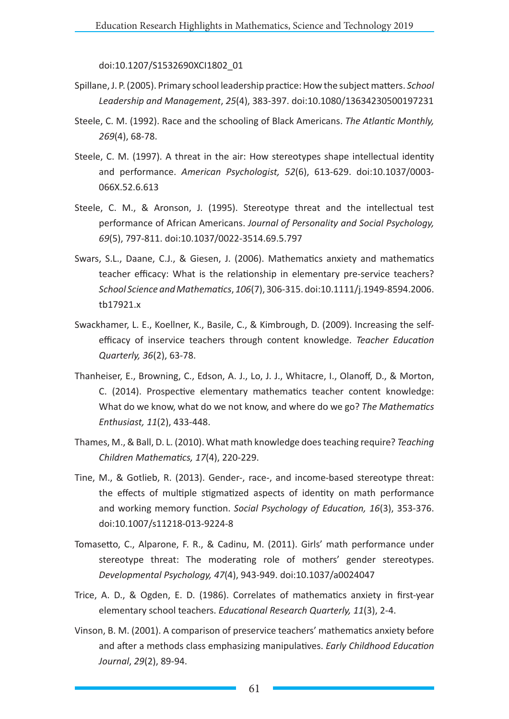doi:10.1207/S1532690XCI1802\_01

- Spillane, J. P. (2005). Primary school leadership practice: How the subject matters. *School Leadership and Management*, *25*(4), 383-397. doi:10.1080/13634230500197231
- Steele, C. M. (1992). Race and the schooling of Black Americans. *The Atlantic Monthly, 269*(4), 68-78.
- Steele, C. M. (1997). A threat in the air: How stereotypes shape intellectual identity and performance. *American Psychologist, 52*(6), 613-629. doi:10.1037/0003- 066X.52.6.613
- Steele, C. M., & Aronson, J. (1995). Stereotype threat and the intellectual test performance of African Americans. *Journal of Personality and Social Psychology, 69*(5), 797-811. doi:10.1037/0022-3514.69.5.797
- Swars, S.L., Daane, C.J., & Giesen, J. (2006). Mathematics anxiety and mathematics teacher efficacy: What is the relationship in elementary pre-service teachers? *School Science and Mathematics*, *106*(7), 306-315. doi:10.1111/j.1949-8594.2006. tb17921.x
- Swackhamer, L. E., Koellner, K., Basile, C., & Kimbrough, D. (2009). Increasing the selfefficacy of inservice teachers through content knowledge. *Teacher Education Quarterly, 36*(2), 63-78.
- Thanheiser, E., Browning, C., Edson, A. J., Lo, J. J., Whitacre, I., Olanoff, D., & Morton, C. (2014). Prospective elementary mathematics teacher content knowledge: What do we know, what do we not know, and where do we go? *The Mathematics Enthusiast, 11*(2), 433-448.
- Thames, M., & Ball, D. L. (2010). What math knowledge does teaching require? *Teaching Children Mathematics, 17*(4), 220-229.
- Tine, M., & Gotlieb, R. (2013). Gender-, race-, and income-based stereotype threat: the effects of multiple stigmatized aspects of identity on math performance and working memory function. *Social Psychology of Education, 16*(3), 353-376. doi:10.1007/s11218-013-9224-8
- Tomasetto, C., Alparone, F. R., & Cadinu, M. (2011). Girls' math performance under stereotype threat: The moderating role of mothers' gender stereotypes. *Developmental Psychology, 47*(4), 943-949. doi:10.1037/a0024047
- Trice, A. D., & Ogden, E. D. (1986). Correlates of mathematics anxiety in first-year elementary school teachers. *Educational Research Quarterly, 11*(3), 2-4.
- Vinson, B. M. (2001). A comparison of preservice teachers' mathematics anxiety before and after a methods class emphasizing manipulatives. *Early Childhood Education Journal*, *29*(2), 89-94.